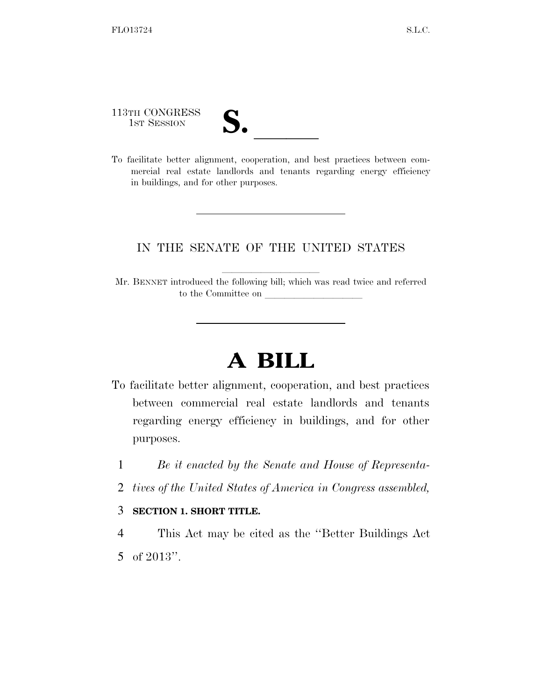113TH CONGRESS

- 
- 113TH CONGRESS<br>1st SESSION<br>To facilitate better alignment, cooperation, and best practices between commercial real estate landlords and tenants regarding energy efficiency in buildings, and for other purposes.

## IN THE SENATE OF THE UNITED STATES

Mr. BENNET introduced the following bill; which was read twice and referred to the Committee on

# **A BILL**

- To facilitate better alignment, cooperation, and best practices between commercial real estate landlords and tenants regarding energy efficiency in buildings, and for other purposes.
	- 1 *Be it enacted by the Senate and House of Representa-*
	- 2 *tives of the United States of America in Congress assembled,*

#### 3 **SECTION 1. SHORT TITLE.**

4 This Act may be cited as the ''Better Buildings Act 5 of 2013''.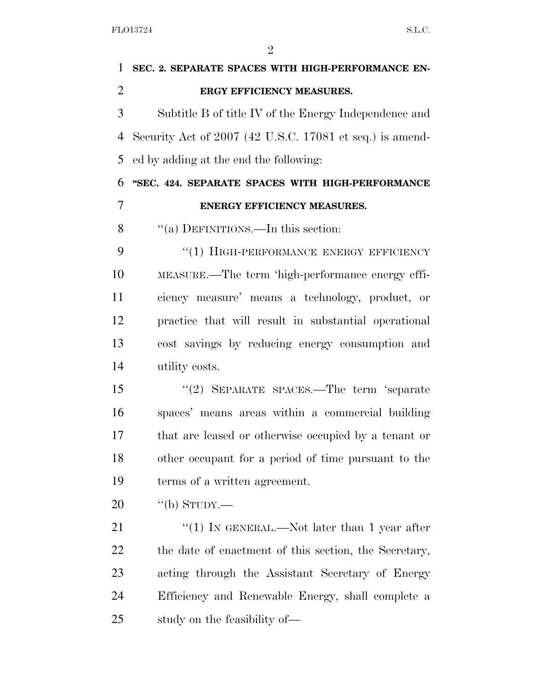| 1              | SEC. 2. SEPARATE SPACES WITH HIGH-PERFORMANCE EN-        |
|----------------|----------------------------------------------------------|
| $\overline{2}$ | ERGY EFFICIENCY MEASURES.                                |
| 3              | Subtitle B of title IV of the Energy Independence and    |
| $\overline{4}$ | Security Act of 2007 (42 U.S.C. 17081 et seq.) is amend- |
| 5              | ed by adding at the end the following:                   |
| 6              | "SEC. 424. SEPARATE SPACES WITH HIGH-PERFORMANCE         |
| 7              | ENERGY EFFICIENCY MEASURES.                              |
| 8              | "(a) DEFINITIONS.—In this section:                       |
| 9              | "(1) HIGH-PERFORMANCE ENERGY EFFICIENCY                  |
| 10             | MEASURE.—The term 'high-performance energy effi-         |
| 11             | ciency measure' means a technology, product, or          |
| 12             | practice that will result in substantial operational     |
| 13             | cost savings by reducing energy consumption and          |
| 14             | utility costs.                                           |
| 15             | "(2) SEPARATE SPACES.—The term 'separate                 |
| 16             | spaces' means areas within a commercial building         |
| 17             | that are leased or otherwise occupied by a tenant or     |
| 18             | other occupant for a period of time pursuant to the      |
| 19             | terms of a written agreement.                            |
| 20             | "(b) STUDY.—                                             |
| 21             | "(1) IN GENERAL.—Not later than 1 year after             |
| 22             | the date of enactment of this section, the Secretary,    |
| 23             | acting through the Assistant Secretary of Energy         |
| 24             | Efficiency and Renewable Energy, shall complete a        |
| 25             | study on the feasibility of—                             |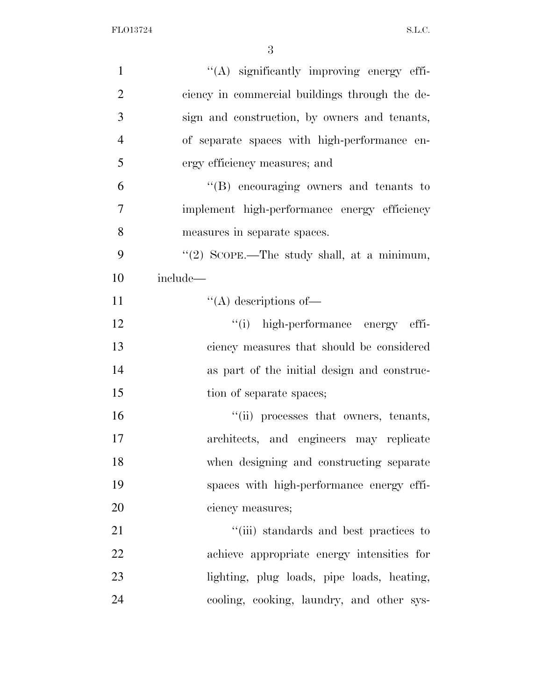| $\mathbf{1}$   | "(A) significantly improving energy effi-      |
|----------------|------------------------------------------------|
| $\overline{2}$ | ciency in commercial buildings through the de- |
| 3              | sign and construction, by owners and tenants,  |
| $\overline{4}$ | of separate spaces with high-performance en-   |
| 5              | ergy efficiency measures; and                  |
| 6              | $\lq\lq(B)$ encouraging owners and tenants to  |
| $\overline{7}$ | implement high-performance energy efficiency   |
| 8              | measures in separate spaces.                   |
| 9              | "(2) SCOPE.—The study shall, at a minimum,     |
| 10             | include—                                       |
| 11             | $\lq\lq$ descriptions of —                     |
| 12             | "(i) high-performance energy effi-             |
| 13             | ciency measures that should be considered      |
| 14             | as part of the initial design and construc-    |
| 15             | tion of separate spaces;                       |
| 16             | "(ii) processes that owners, tenants,          |
| 17             | architects, and engineers may replicate        |
| 18             | when designing and constructing separate       |
| 19             | spaces with high-performance energy effi-      |
| 20             | ciency measures;                               |
| 21             | "(iii) standards and best practices to         |
| 22             | achieve appropriate energy intensities for     |
| 23             | lighting, plug loads, pipe loads, heating,     |
| 24             | cooling, cooking, laundry, and other sys-      |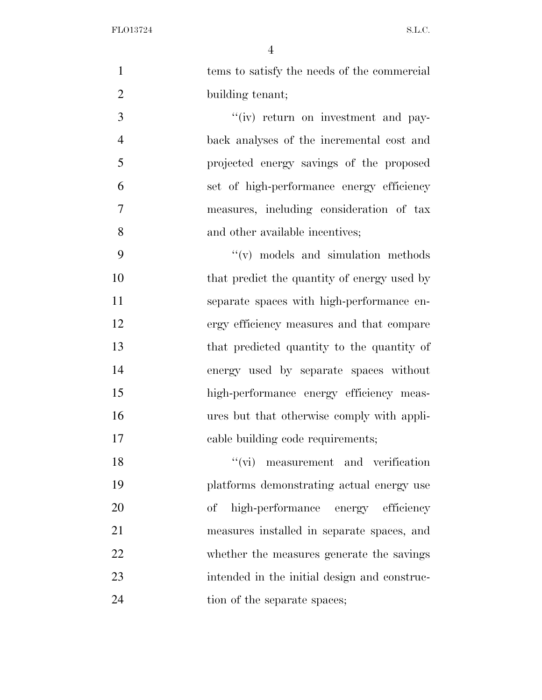FLO13724 S.L.C.

 1 tems to satisfy the needs of the commercial 2 building tenant; 3 ''(iv) return on investment and pay- back analyses of the incremental cost and projected energy savings of the proposed set of high-performance energy efficiency measures, including consideration of tax 8 and other available incentives; ''(v) models and simulation methods 10 that predict the quantity of energy used by separate spaces with high-performance en- ergy efficiency measures and that compare that predicted quantity to the quantity of energy used by separate spaces without high-performance energy efficiency meas- ures but that otherwise comply with appli- cable building code requirements; 18 ''(vi) measurement and verification

 platforms demonstrating actual energy use of high-performance energy efficiency measures installed in separate spaces, and whether the measures generate the savings intended in the initial design and construc-24 tion of the separate spaces;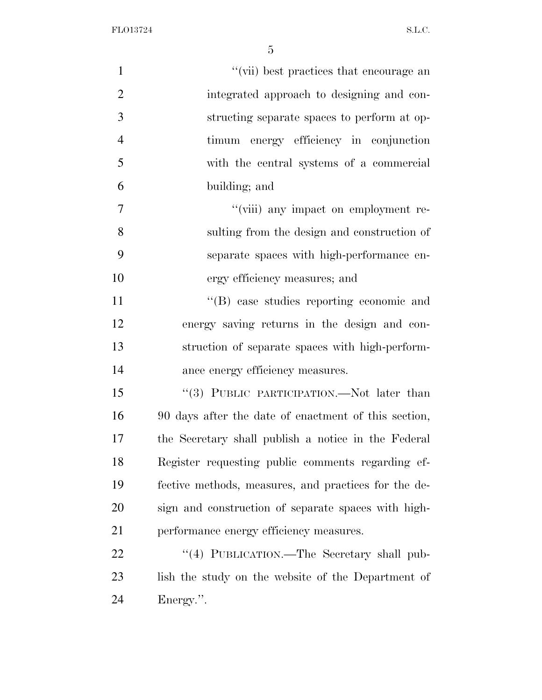FLO13724 S.L.C.

| $\mathbf{1}$   | "(vii) best practices that encourage an              |
|----------------|------------------------------------------------------|
| $\overline{2}$ | integrated approach to designing and con-            |
| 3              | structing separate spaces to perform at op-          |
| $\overline{4}$ | timum energy efficiency in conjunction               |
| 5              | with the central systems of a commercial             |
| 6              | building; and                                        |
| 7              | "(viii) any impact on employment re-                 |
| 8              | sulting from the design and construction of          |
| 9              | separate spaces with high-performance en-            |
| 10             | ergy efficiency measures; and                        |
| 11             | $\lq\lq$ case studies reporting economic and         |
| 12             | energy saving returns in the design and con-         |
| 13             | struction of separate spaces with high-perform-      |
| 14             | ance energy efficiency measures.                     |
| 15             | "(3) PUBLIC PARTICIPATION.—Not later than            |
| 16             | 90 days after the date of enactment of this section, |
| 17             | the Secretary shall publish a notice in the Federal  |
| 18             | Register requesting public comments regarding ef-    |
| 19             | fective methods, measures, and practices for the de- |
| 20             | sign and construction of separate spaces with high-  |
| 21             | performance energy efficiency measures.              |
| 22             | "(4) PUBLICATION.—The Secretary shall pub-           |
| 23             | lish the study on the website of the Department of   |
| 24             | Energy.".                                            |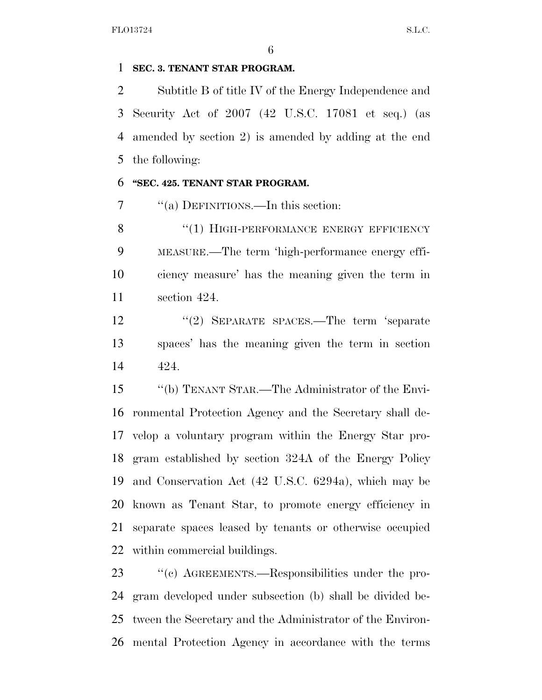### **SEC. 3. TENANT STAR PROGRAM.**

 Subtitle B of title IV of the Energy Independence and Security Act of 2007 (42 U.S.C. 17081 et seq.) (as amended by section 2) is amended by adding at the end the following:

#### **''SEC. 425. TENANT STAR PROGRAM.**

7 "(a) DEFINITIONS.—In this section:

8 "(1) HIGH-PERFORMANCE ENERGY EFFICIENCY MEASURE.—The term 'high-performance energy effi- ciency measure' has the meaning given the term in section 424.

 ''(2) SEPARATE SPACES.—The term 'separate spaces' has the meaning given the term in section 424.

 ''(b) TENANT STAR.—The Administrator of the Envi- ronmental Protection Agency and the Secretary shall de- velop a voluntary program within the Energy Star pro- gram established by section 324A of the Energy Policy and Conservation Act (42 U.S.C. 6294a), which may be known as Tenant Star, to promote energy efficiency in separate spaces leased by tenants or otherwise occupied within commercial buildings.

 ''(c) AGREEMENTS.—Responsibilities under the pro- gram developed under subsection (b) shall be divided be- tween the Secretary and the Administrator of the Environ-mental Protection Agency in accordance with the terms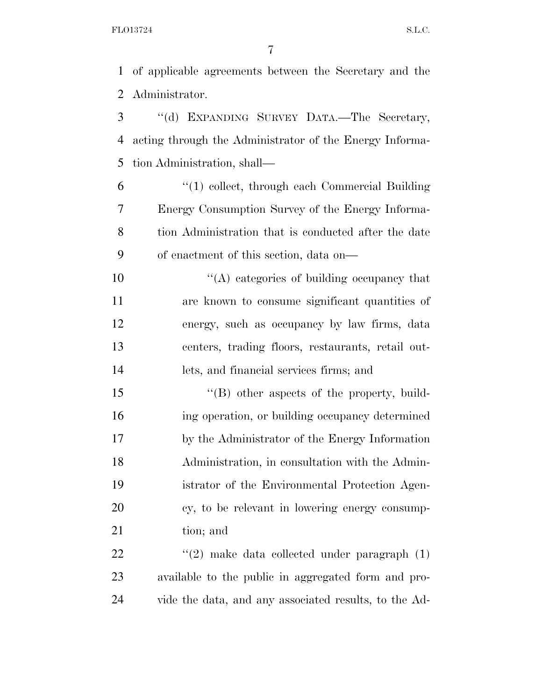of applicable agreements between the Secretary and the Administrator.

 ''(d) EXPANDING SURVEY DATA.—The Secretary, acting through the Administrator of the Energy Informa-tion Administration, shall—

 ''(1) collect, through each Commercial Building Energy Consumption Survey of the Energy Informa- tion Administration that is conducted after the date of enactment of this section, data on—

 $\mathcal{L}(\mathbf{A})$  categories of building occupancy that are known to consume significant quantities of energy, such as occupancy by law firms, data centers, trading floors, restaurants, retail out-lets, and financial services firms; and

15 "(B) other aspects of the property, build- ing operation, or building occupancy determined by the Administrator of the Energy Information Administration, in consultation with the Admin- istrator of the Environmental Protection Agen- cy, to be relevant in lowering energy consump-tion; and

22  $(2)$  make data collected under paragraph  $(1)$  available to the public in aggregated form and pro-vide the data, and any associated results, to the Ad-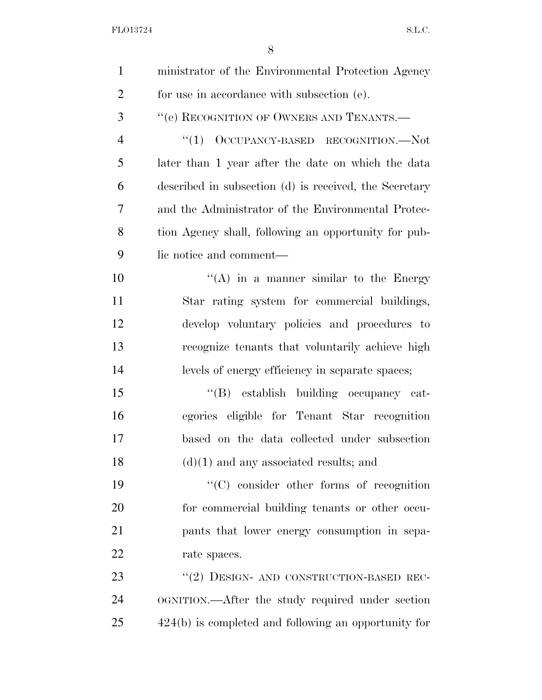| $\mathbf{1}$   | ministrator of the Environmental Protection Agency     |
|----------------|--------------------------------------------------------|
| $\overline{2}$ | for use in accordance with subsection (e).             |
| 3              | "(e) RECOGNITION OF OWNERS AND TENANTS.-               |
| $\overline{4}$ | "(1) OCCUPANCY-BASED RECOGNITION.—Not                  |
| 5              | later than 1 year after the date on which the data     |
| 6              | described in subsection (d) is received, the Secretary |
| 7              | and the Administrator of the Environmental Protec-     |
| 8              | tion Agency shall, following an opportunity for pub-   |
| 9              | lic notice and comment—                                |
| 10             | $\lq\lq$ (A) in a manner similar to the Energy         |
| 11             | Star rating system for commercial buildings,           |
| 12             | develop voluntary policies and procedures to           |
| 13             | recognize tenants that voluntarily achieve high        |
| 14             | levels of energy efficiency in separate spaces;        |
| 15             | "(B) establish building occupancy cat-                 |
| 16             | egories eligible for Tenant Star recognition           |
| 17             | based on the data collected under subsection           |
| 18             | $(d)(1)$ and any associated results; and               |
| 19             | $\lq\lq$ consider other forms of recognition           |
| 20             | for commercial building tenants or other occu-         |
| 21             | pants that lower energy consumption in sepa-           |
| 22             | rate spaces.                                           |
| 23             | "(2) DESIGN- AND CONSTRUCTION-BASED REC-               |
| 24             | OGNITION.—After the study required under section       |
| 25             | $424(b)$ is completed and following an opportunity for |